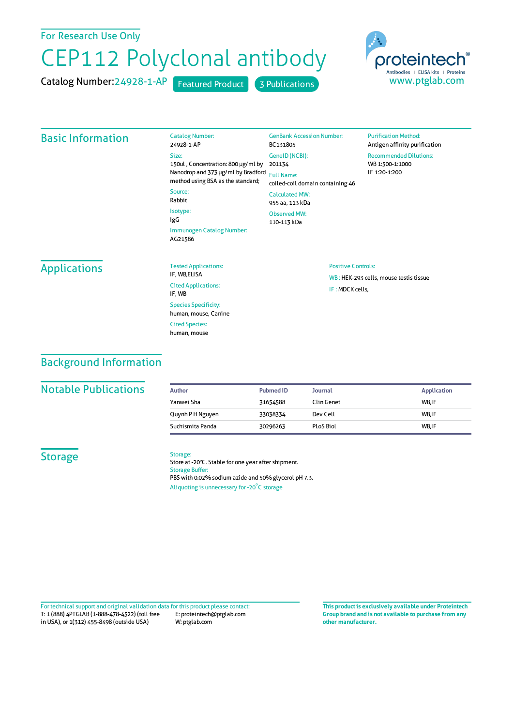## For Research Use Only

# CEP112 Polyclonal antibody

Catalog Number:

Catalog Number: 24928-1-AP Featured Product 3 Publications



## Basic Information

24928-1-AP Size: 150ul , Concentration: 800 μg/ml by 201134 Nanodrop and 373 μg/ml by Bradford Full Name: method using BSA as the standard; Source: Rabbit Isotype: IgG Immunogen Catalog Number: AG21586 BC131805 GeneID(NCBI): coiled-coil domain containing 46 CalculatedMW: 955 aa, 113 kDa Observed MW: 110-113 kDa

#### **Purification Method:** Antigen affinity purification Recommended Dilutions: WB 1:500-1:1000 IF 1:20-1:200

# Applications

| <b>Tested Applications:</b><br>IF. WB.ELISA         |
|-----------------------------------------------------|
| <b>Cited Applications:</b><br>IF, WB                |
| <b>Species Specificity:</b><br>human, mouse, Canine |
| <b>Cited Species:</b><br>human, mouse               |

#### Positive Controls:

WB : HEK-293 cells, mouse testis tissue IF :MDCK cells,

# Background Information

## **Notable Publications**

| Author           | <b>Pubmed ID</b> | <b>Journal</b> | <b>Application</b> |
|------------------|------------------|----------------|--------------------|
| Yanwei Sha       | 31654588         | Clin Genet     | WB.IF              |
| Quynh P H Nguyen | 33038334         | Dev Cell       | WB.IF              |
| Suchismita Panda | 30296263         | PLoS Biol      | WB.IF              |

GenBank Accession Number:

### **Storage**

Storage: Store at -20°C. Stable for one year after shipment. Storage Buffer: PBS with 0.02% sodium azide and 50% glycerol pH 7.3. Aliquoting is unnecessary for -20<sup>°</sup>C storage

T: 1 (888) 4PTGLAB (1-888-478-4522) (toll free in USA), or 1(312) 455-8498 (outside USA) E: proteintech@ptglab.com W: ptglab.com Fortechnical support and original validation data forthis product please contact: **This productis exclusively available under Proteintech**

**Group brand and is not available to purchase from any other manufacturer.**